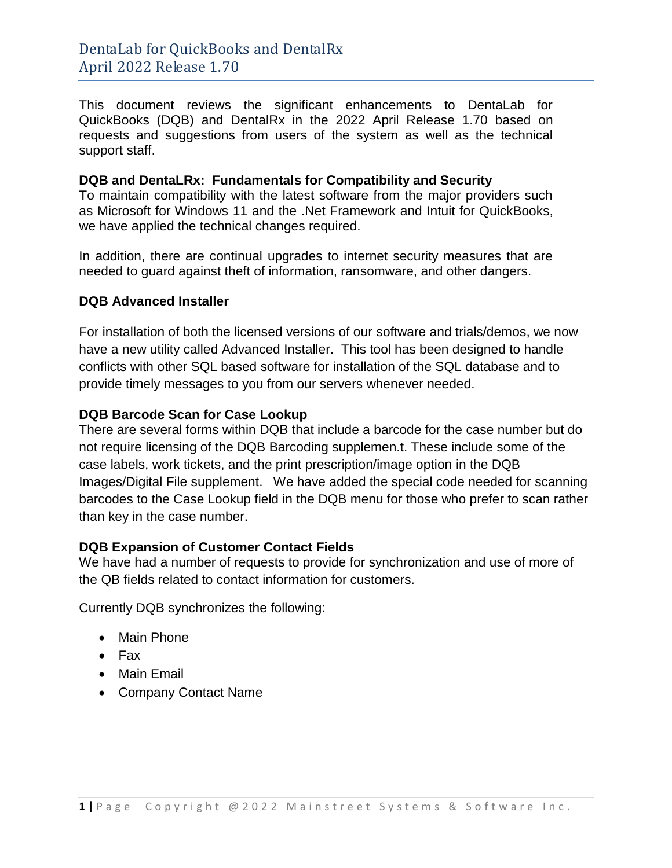This document reviews the significant enhancements to DentaLab for QuickBooks (DQB) and DentalRx in the 2022 April Release 1.70 based on requests and suggestions from users of the system as well as the technical support staff.

#### **DQB and DentaLRx: Fundamentals for Compatibility and Security**

To maintain compatibility with the latest software from the major providers such as Microsoft for Windows 11 and the .Net Framework and Intuit for QuickBooks, we have applied the technical changes required.

In addition, there are continual upgrades to internet security measures that are needed to guard against theft of information, ransomware, and other dangers.

## **DQB Advanced Installer**

For installation of both the licensed versions of our software and trials/demos, we now have a new utility called Advanced Installer. This tool has been designed to handle conflicts with other SQL based software for installation of the SQL database and to provide timely messages to you from our servers whenever needed.

## **DQB Barcode Scan for Case Lookup**

There are several forms within DQB that include a barcode for the case number but do not require licensing of the DQB Barcoding supplemen.t. These include some of the case labels, work tickets, and the print prescription/image option in the DQB Images/Digital File supplement. We have added the special code needed for scanning barcodes to the Case Lookup field in the DQB menu for those who prefer to scan rather than key in the case number.

#### **DQB Expansion of Customer Contact Fields**

We have had a number of requests to provide for synchronization and use of more of the QB fields related to contact information for customers.

Currently DQB synchronizes the following:

- Main Phone
- Fax
- Main Email
- Company Contact Name